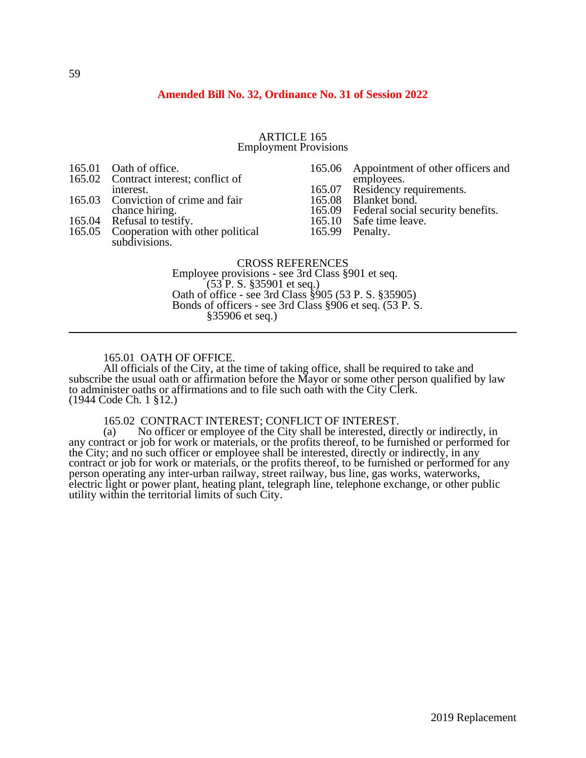# **Amended Bill No. 32, Ordinance No. 31 of Session 2022**

#### ARTICLE 165 Employment Provisions

165.01 Oath of office.<br>165.02 Contract intere

- Contract interest; conflict of
- interest. 165.03 Conviction of crime and fair
- chance hiring.
- 
- 165.04 Refusal to testify.<br>165.05 Cooperation with Cooperation with other political subdivisions.

165.06 Appointment of other officers and employees.

- 165.07 Residency requirements.<br>165.08 Blanket bond.
- 165.08 Blanket bond.<br>165.09 Federal social
- 165.09 Federal social security benefits.<br>165.10 Safe time leave.
- Safe time leave.
- 165.99 Penalty.

#### CROSS REFERENCES

Employee provisions - see 3rd Class §901 et seq. (53 P. S. §35901 et seq.) Oath of office - see 3rd Class §905 (53 P. S. §35905) Bonds of officers - see 3rd Class §906 et seq. (53 P. S. §35906 et seq.)

#### 165.01 OATH OF OFFICE.

All officials of the City, at the time of taking office, shall be required to take and subscribe the usual oath or affirmation before the Mayor or some other person qualified by law to administer oaths or affirmations and to file such oath with the City Clerk. (1944 Code Ch. 1 §12.)

# 165.02 CONTRACT INTEREST; CONFLICT OF INTEREST.<br>(a) No officer or employee of the City shall be interested, dir

No officer or employee of the City shall be interested, directly or indirectly, in any contract or job for work or materials, or the profits thereof, to be furnished or performed for the City; and no such officer or employee shall be interested, directly or indirectly, in any contract or job for work or materials, or the profits thereof, to be furnished or performed for any person operating any inter-urban railway, street railway, bus line, gas works, waterworks, electric light or power plant, heating plant, telegraph line, telephone exchange, or other public utility within the territorial limits of such City.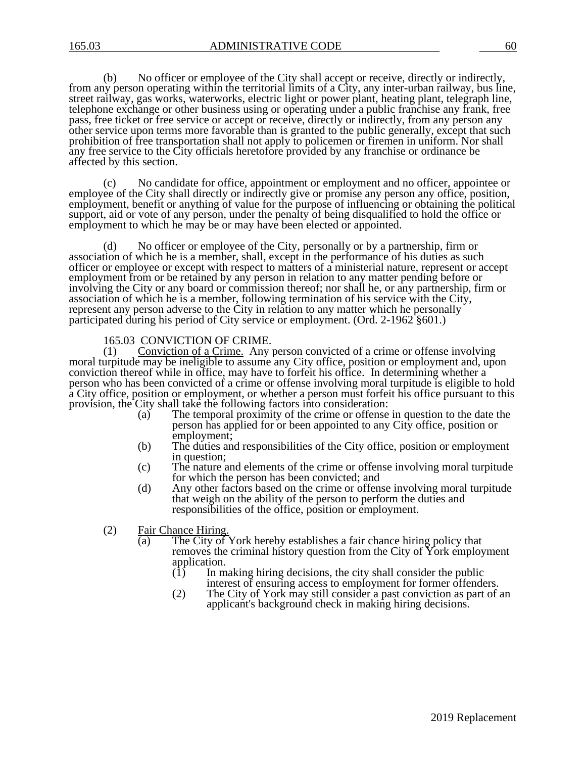(b) No officer or employee of the City shall accept or receive, directly or indirectly, from any person operating within the territorial limits of a City, any inter-urban railway, bus line, street railway, gas works, waterworks, electric light or power plant, heating plant, telegraph line, telephone exchange or other business using or operating under a public franchise any frank, free pass, free ticket or free service or accept or receive, directly or indirectly, from any person any other service upon terms more favorable than is granted to the public generally, except that such prohibition of free transportation shall not apply to policemen or firemen in uniform. Nor shall any free service to the City officials heretofore provided by any franchise or ordinance be affected by this section.

(c) No candidate for office, appointment or employment and no officer, appointee or employee of the City shall directly or indirectly give or promise any person any office, position, employment, benefit or anything of value for the purpose of influencing or obtaining the political support, aid or vote of any person, under the penalty of being disqualified to hold the office or employment to which he may be or may have been elected or appointed.

(d) No officer or employee of the City, personally or by a partnership, firm or association of which he is a member, shall, except in the performance of his duties as such officer or employee or except with respect to matters of a ministerial nature, represent or accept employment from or be retained by any person in relation to any matter pending before or involving the City or any board or commission thereof; nor shall he, or any partnership, firm or association of which he is a member, following termination of his service with the City, represent any person adverse to the City in relation to any matter which he personally participated during his period of City service or employment. (Ord. 2-1962 §601.)

# 165.03 CONVICTION OF CRIME.<br>(1) Conviction of a Crime. Any

Conviction of a Crime. Any person convicted of a crime or offense involving moral turpitude may be ineligible to assume any City office, position or employment and, upon conviction thereof while in office, may have to forfeit his office. In determining whether a person who has been convicted of a crime or offense involving moral turpitude is eligible to hold a City office, position or employment, or whether a person must forfeit his office pursuant to this provision, the City shall take the following factors into consideration:<br>(a) The temporal proximity of the crime or offense

- The temporal proximity of the crime or offense in question to the date the person has applied for or been appointed to any City office, position or employment;
- (b) The duties and responsibilities of the City office, position or employment in question;
- (c) The nature and elements of the crime or offense involving moral turpitude for which the person has been convicted; and
- (d) Any other factors based on the crime or offense involving moral turpitude that weigh on the ability of the person to perform the duties and responsibilities of the office, position or employment.
- (2) Fair Chance Hiring.<br>(a) The City of
	- The City of York hereby establishes a fair chance hiring policy that removes the criminal history question from the City of York employment application.<br>(1) In m
		- In making hiring decisions, the city shall consider the public interest of ensuring access to employment for former offenders.
		- (2) The City of York may still consider a past conviction as part of an applicant's background check in making hiring decisions.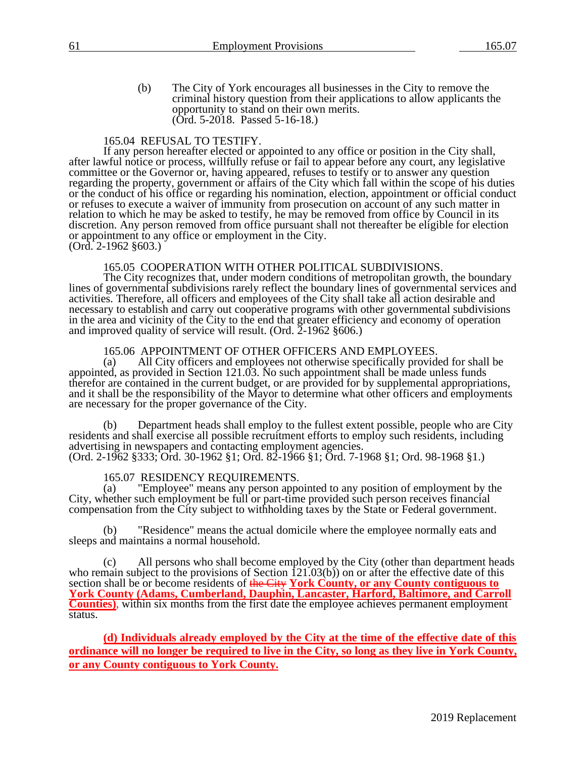(b) The City of York encourages all businesses in the City to remove the criminal history question from their applications to allow applicants the opportunity to stand on their own merits. (Ord. 5-2018. Passed 5-16-18.)

# 165.04 REFUSAL TO TESTIFY.

If any person hereafter elected or appointed to any office or position in the City shall, after lawful notice or process, willfully refuse or fail to appear before any court, any legislative committee or the Governor or, having appeared, refuses to testify or to answer any question regarding the property, government or affairs of the City which fall within the scope of his duties or the conduct of his office or regarding his nomination, election, appointment or official conduct or refuses to execute a waiver of immunity from prosecution on account of any such matter in relation to which he may be asked to testify, he may be removed from office by Council in its discretion. Any person removed from office pursuant shall not thereafter be eligible for election or appointment to any office or employment in the City. (Ord. 2-1962 §603.)

# 165.05 COOPERATION WITH OTHER POLITICAL SUBDIVISIONS.

The City recognizes that, under modern conditions of metropolitan growth, the boundary lines of governmental subdivisions rarely reflect the boundary lines of governmental services and activities. Therefore, all officers and employees of the City shall take all action desirable and necessary to establish and carry out cooperative programs with other governmental subdivisions in the area and vicinity of the City to the end that greater efficiency and economy of operation and improved quality of service will result. (Ord. 2-1962 §606.)

# 165.06 APPOINTMENT OF OTHER OFFICERS AND EMPLOYEES.

(a) All City officers and employees not otherwise specifically provided for shall be appointed, as provided in Section 121.03. No such appointment shall be made unless funds therefor are contained in the current budget, or are provided for by supplemental appropriations, and it shall be the responsibility of the Mayor to determine what other officers and employments are necessary for the proper governance of the City.

(b) Department heads shall employ to the fullest extent possible, people who are City residents and shall exercise all possible recruitment efforts to employ such residents, including advertising in newspapers and contacting employment agencies. (Ord. 2-1962 §333; Ord. 30-1962 §1; Ord. 82-1966 §1; Ord. 7-1968 §1; Ord. 98-1968 §1.)

# 165.07 RESIDENCY REQUIREMENTS.

(a) "Employee" means any person appointed to any position of employment by the City, whether such employment be full or part-time provided such person receives financial compensation from the City subject to withholding taxes by the State or Federal government.

(b) "Residence" means the actual domicile where the employee normally eats and sleeps and maintains a normal household.

All persons who shall become employed by the City (other than department heads who remain subject to the provisions of Section 121.03(b) on or after the effective date of this section shall be or become residents of the City **York County, or any County contiguous to York County (Adams, Cumberland, Dauphin, Lancaster, Harford, Baltimore, and Carroll Counties**), within six months from the first date the employee achieves permanent employment status.

**(d) Individuals already employed by the City at the time of the effective date of this ordinance will no longer be required to live in the City, so long as they live in York County, or any County contiguous to York County.**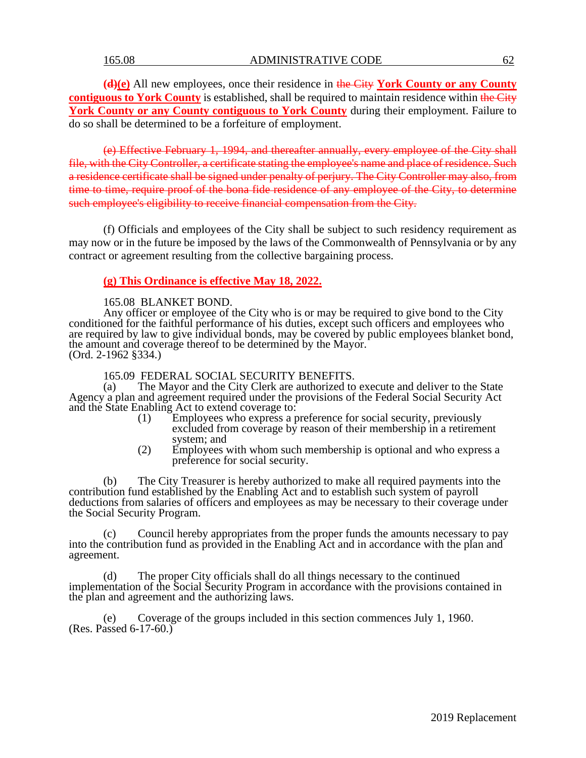**(d)(e)** All new employees, once their residence in the City **York County or any County contiguous to York County** is established, shall be required to maintain residence within the City York County or any County contiguous to York County during their employment. Failure to do so shall be determined to be a forfeiture of employment.

(e) Effective February 1, 1994, and thereafter annually, every employee of the City shall file, with the City Controller, a certificate stating the employee's name and place of residence. Such a residence certificate shall be signed under penalty of perjury. The City Controller may also, from time to time, require proof of the bona fide residence of any employee of the City, to determine such employee's eligibility to receive financial compensation from the City.

(f) Officials and employees of the City shall be subject to such residency requirement as may now or in the future be imposed by the laws of the Commonwealth of Pennsylvania or by any contract or agreement resulting from the collective bargaining process.

# **(g) This Ordinance is effective May 18, 2022.**

#### 165.08 BLANKET BOND.

Any officer or employee of the City who is or may be required to give bond to the City conditioned for the faithful performance of his duties, except such officers and employees who are required by law to give individual bonds, may be covered by public employees blanket bond, the amount and coverage thereof to be determined by the Mayor. (Ord. 2-1962 §334.)

165.09 FEDERAL SOCIAL SECURITY BENEFITS.

(a) The Mayor and the City Clerk are authorized to execute and deliver to the State Agency a plan and agreement required under the provisions of the Federal Social Security Act and the State Enabling Act to extend coverage to:

- (1) Employees who express a preference for social security, previously excluded from coverage by reason of their membership in a retirement system; and
- (2) Employees with whom such membership is optional and who express a preference for social security.

The City Treasurer is hereby authorized to make all required payments into the contribution fund established by the Enabling Act and to establish such system of payroll deductions from salaries of officers and employees as may be necessary to their coverage under the Social Security Program.

(c) Council hereby appropriates from the proper funds the amounts necessary to pay into the contribution fund as provided in the Enabling Act and in accordance with the plan and agreement.

(d) The proper City officials shall do all things necessary to the continued implementation of the Social Security Program in accordance with the provisions contained in the plan and agreement and the authorizing laws.

(e) Coverage of the groups included in this section commences July 1, 1960. (Res. Passed 6-17-60.)